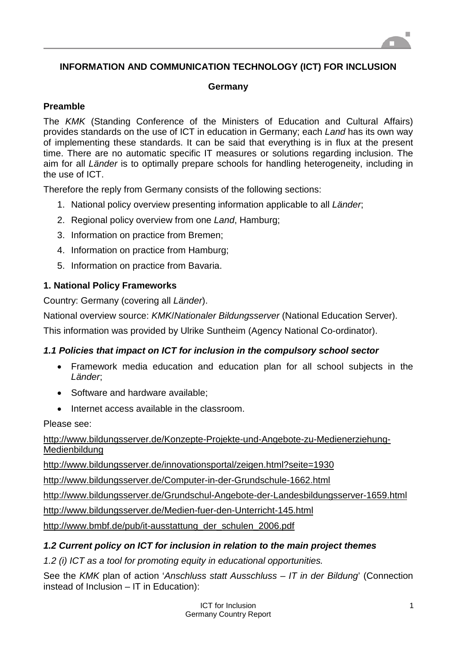# **INFORMATION AND COMMUNICATION TECHNOLOGY (ICT) FOR INCLUSION**

### **Germany**

#### **Preamble**

The *KMK* (Standing Conference of the Ministers of Education and Cultural Affairs) provides standards on the use of ICT in education in Germany; each *Land* has its own way of implementing these standards. It can be said that everything is in flux at the present time. There are no automatic specific IT measures or solutions regarding inclusion. The aim for all *Länder* is to optimally prepare schools for handling heterogeneity, including in the use of ICT.

Therefore the reply from Germany consists of the following sections:

- 1. National policy overview presenting information applicable to all *Länder*;
- 2. Regional policy overview from one *Land*, Hamburg;
- 3. Information on practice from Bremen;
- 4. Information on practice from Hamburg;
- 5. Information on practice from Bavaria.

# **1. National Policy Frameworks**

Country: Germany (covering all *Länder*).

National overview source: *KMK*/*Nationaler Bildungsserver* (National Education Server).

This information was provided by Ulrike Suntheim (Agency National Co-ordinator).

# *1.1 Policies that impact on ICT for inclusion in the compulsory school sector*

- Framework media education and education plan for all school subjects in the *Länder*;
- Software and hardware available:
- Internet access available in the classroom.

Please see:

[http://www.bildungsserver.de/Konzepte-Projekte-und-Angebote-zu-Medienerziehung-](http://www.bildungsserver.de/Konzepte-Projekte-und-Angebote-zu-Medienerziehung-Medienbildung)[Medienbildung](http://www.bildungsserver.de/Konzepte-Projekte-und-Angebote-zu-Medienerziehung-Medienbildung)

<http://www.bildungsserver.de/innovationsportal/zeigen.html?seite=1930>

<http://www.bildungsserver.de/Computer-in-der-Grundschule-1662.html>

<http://www.bildungsserver.de/Grundschul-Angebote-der-Landesbildungsserver-1659.html>

<http://www.bildungsserver.de/Medien-fuer-den-Unterricht-145.html>

[http://www.bmbf.de/pub/it-ausstattung\\_der\\_schulen\\_2006.pdf](http://www.bmbf.de/pub/it-ausstattung_der_schulen_2006.pdf)

# *1.2 Current policy on ICT for inclusion in relation to the main project themes*

*1.2 (i) ICT as a tool for promoting equity in educational opportunities.*

See the *KMK* plan of action '*Anschluss statt Ausschluss – IT in der Bildung*' (Connection instead of Inclusion – IT in Education):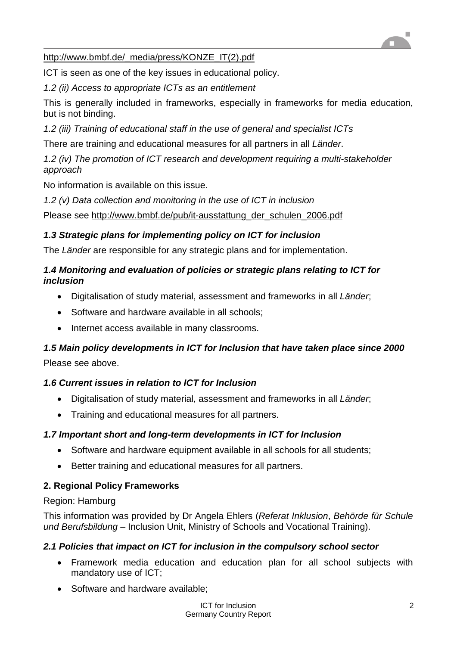# http://www.bmbf.de/\_media/press/KONZE\_IT(2).pdf

ICT is seen as one of the key issues in educational policy.

*1.2 (ii) Access to appropriate ICTs as an entitlement*

This is generally included in frameworks, especially in frameworks for media education, but is not binding.

*1.2 (iii) Training of educational staff in the use of general and specialist ICTs*

There are training and educational measures for all partners in all *Länder*.

*1.2 (iv) The promotion of ICT research and development requiring a multi-stakeholder approach*

No information is available on this issue.

*1.2 (v) Data collection and monitoring in the use of ICT in inclusion*

Please see [http://www.bmbf.de/pub/it-ausstattung\\_der\\_schulen\\_2006.pdf](http://www.bmbf.de/pub/it-ausstattung_der_schulen_2006.pdf)

# *1.3 Strategic plans for implementing policy on ICT for inclusion*

The *Länder* are responsible for any strategic plans and for implementation.

# *1.4 Monitoring and evaluation of policies or strategic plans relating to ICT for inclusion*

- Digitalisation of study material, assessment and frameworks in all *Länder*;
- Software and hardware available in all schools;
- Internet access available in many classrooms.

# *1.5 Main policy developments in ICT for Inclusion that have taken place since 2000*

Please see above.

# *1.6 Current issues in relation to ICT for Inclusion*

- Digitalisation of study material, assessment and frameworks in all *Länder*;
- Training and educational measures for all partners.

# *1.7 Important short and long-term developments in ICT for Inclusion*

- Software and hardware equipment available in all schools for all students:
- Better training and educational measures for all partners.

# **2. Regional Policy Frameworks**

# Region: Hamburg

This information was provided by Dr Angela Ehlers (*Referat Inklusion*, *Behörde für Schule und Berufsbildung* – Inclusion Unit, Ministry of Schools and Vocational Training).

# *2.1 Policies that impact on ICT for inclusion in the compulsory school sector*

- Framework media education and education plan for all school subjects with mandatory use of ICT;
- Software and hardware available: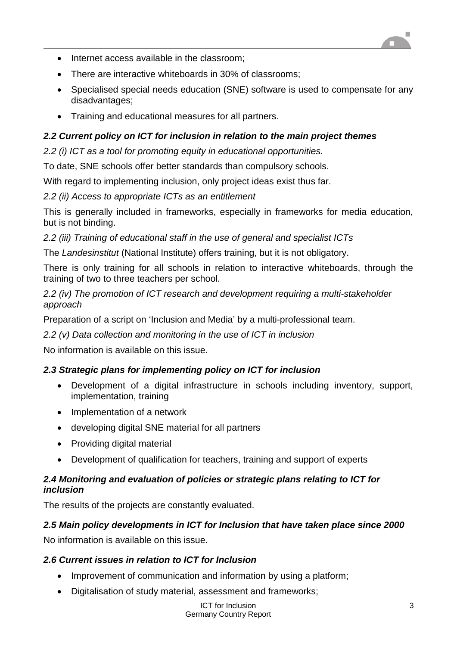

- Internet access available in the classroom:
- There are interactive whiteboards in 30% of classrooms;
- Specialised special needs education (SNE) software is used to compensate for any disadvantages;
- Training and educational measures for all partners.

# *2.2 Current policy on ICT for inclusion in relation to the main project themes*

*2.2 (i) ICT as a tool for promoting equity in educational opportunities.*

To date, SNE schools offer better standards than compulsory schools.

With regard to implementing inclusion, only project ideas exist thus far.

*2.2 (ii) Access to appropriate ICTs as an entitlement*

This is generally included in frameworks, especially in frameworks for media education, but is not binding.

*2.2 (iii) Training of educational staff in the use of general and specialist ICTs*

The *Landesinstitut* (National Institute) offers training, but it is not obligatory.

There is only training for all schools in relation to interactive whiteboards, through the training of two to three teachers per school.

*2.2 (iv) The promotion of ICT research and development requiring a multi-stakeholder approach*

Preparation of a script on 'Inclusion and Media' by a multi-professional team.

*2.2 (v) Data collection and monitoring in the use of ICT in inclusion*

No information is available on this issue.

# *2.3 Strategic plans for implementing policy on ICT for inclusion*

- Development of a digital infrastructure in schools including inventory, support, implementation, training
- Implementation of a network
- developing digital SNE material for all partners
- Providing digital material
- Development of qualification for teachers, training and support of experts

# *2.4 Monitoring and evaluation of policies or strategic plans relating to ICT for inclusion*

The results of the projects are constantly evaluated.

# *2.5 Main policy developments in ICT for Inclusion that have taken place since 2000*

No information is available on this issue.

# *2.6 Current issues in relation to ICT for Inclusion*

- Improvement of communication and information by using a platform:
- Digitalisation of study material, assessment and frameworks;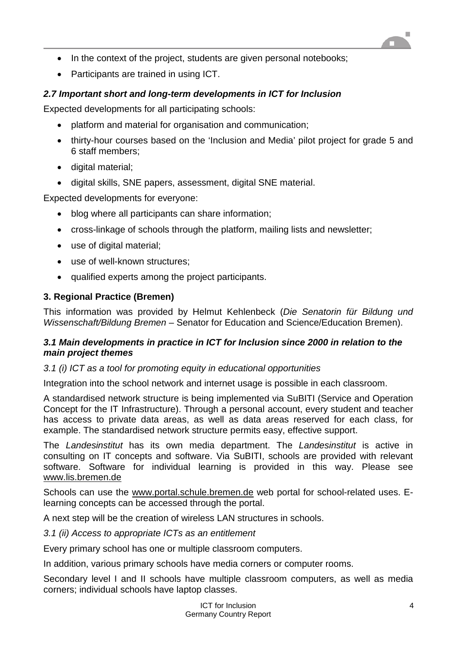

- In the context of the project, students are given personal notebooks;
- Participants are trained in using ICT.

# *2.7 Important short and long-term developments in ICT for Inclusion*

Expected developments for all participating schools:

- platform and material for organisation and communication;
- thirty-hour courses based on the 'Inclusion and Media' pilot project for grade 5 and 6 staff members;
- digital material;
- digital skills, SNE papers, assessment, digital SNE material.

Expected developments for everyone:

- blog where all participants can share information;
- cross-linkage of schools through the platform, mailing lists and newsletter;
- use of digital material;
- use of well-known structures:
- qualified experts among the project participants.

### **3. Regional Practice (Bremen)**

This information was provided by Helmut Kehlenbeck (*Die Senatorin für Bildung und Wissenschaft/Bildung Bremen* – Senator for Education and Science/Education Bremen).

#### *3.1 Main developments in practice in ICT for Inclusion since 2000 in relation to the main project themes*

#### *3.1 (i) ICT as a tool for promoting equity in educational opportunities*

Integration into the school network and internet usage is possible in each classroom.

A standardised network structure is being implemented via SuBITI (Service and Operation Concept for the IT Infrastructure). Through a personal account, every student and teacher has access to private data areas, as well as data areas reserved for each class, for example. The standardised network structure permits easy, effective support.

The *Landesinstitut* has its own media department. The *Landesinstitut* is active in consulting on IT concepts and software. Via SuBITI, schools are provided with relevant software. Software for individual learning is provided in this way. Please see www.lis.bremen.de

Schools can use the [www.portal.schule.bremen.de](http://www.portal.schule.bremen.de/) web portal for school-related uses. Elearning concepts can be accessed through the portal.

A next step will be the creation of wireless LAN structures in schools.

*3.1 (ii) Access to appropriate ICTs as an entitlement*

Every primary school has one or multiple classroom computers.

In addition, various primary schools have media corners or computer rooms.

Secondary level I and II schools have multiple classroom computers, as well as media corners; individual schools have laptop classes.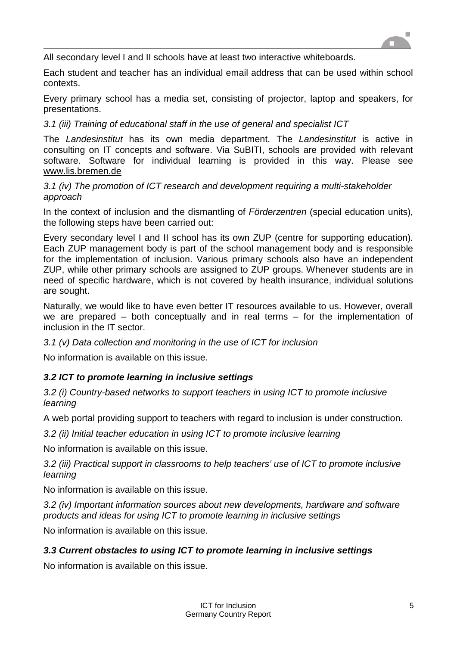

All secondary level I and II schools have at least two interactive whiteboards.

Each student and teacher has an individual email address that can be used within school contexts.

Every primary school has a media set, consisting of projector, laptop and speakers, for presentations.

#### *3.1 (iii) Training of educational staff in the use of general and specialist ICT*

The *Landesinstitut* has its own media department. The *Landesinstitut* is active in consulting on IT concepts and software. Via SuBITI, schools are provided with relevant software. Software for individual learning is provided in this way. Please see [www.lis.bremen.de](http://www.lis.bremen.de/)

*3.1 (iv) The promotion of ICT research and development requiring a multi-stakeholder approach*

In the context of inclusion and the dismantling of *Förderzentren* (special education units), the following steps have been carried out:

Every secondary level I and II school has its own ZUP (centre for supporting education). Each ZUP management body is part of the school management body and is responsible for the implementation of inclusion. Various primary schools also have an independent ZUP, while other primary schools are assigned to ZUP groups. Whenever students are in need of specific hardware, which is not covered by health insurance, individual solutions are sought.

Naturally, we would like to have even better IT resources available to us. However, overall we are prepared – both conceptually and in real terms – for the implementation of inclusion in the IT sector.

*3.1 (v) Data collection and monitoring in the use of ICT for inclusion*

No information is available on this issue.

#### *3.2 ICT to promote learning in inclusive settings*

*3.2 (i) Country-based networks to support teachers in using ICT to promote inclusive learning*

A web portal providing support to teachers with regard to inclusion is under construction.

*3.2 (ii) Initial teacher education in using ICT to promote inclusive learning*

No information is available on this issue.

*3.2 (iii) Practical support in classrooms to help teachers' use of ICT to promote inclusive learning*

No information is available on this issue.

*3.2 (iv) Important information sources about new developments, hardware and software products and ideas for using ICT to promote learning in inclusive settings*

No information is available on this issue.

#### *3.3 Current obstacles to using ICT to promote learning in inclusive settings*

No information is available on this issue.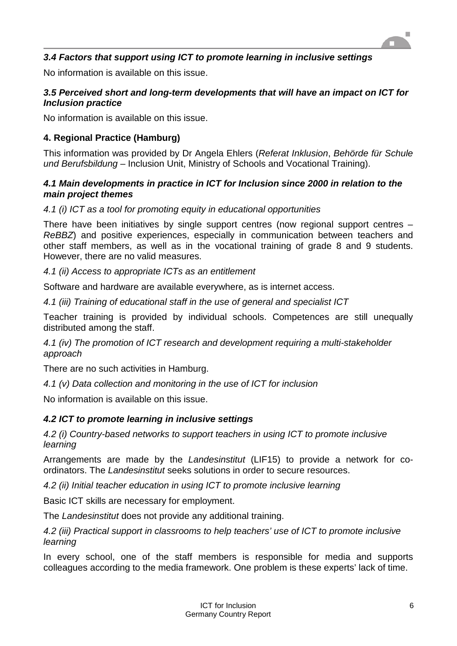

# *3.4 Factors that support using ICT to promote learning in inclusive settings*

No information is available on this issue.

# *3.5 Perceived short and long-term developments that will have an impact on ICT for Inclusion practice*

No information is available on this issue.

### **4. Regional Practice (Hamburg)**

This information was provided by Dr Angela Ehlers (*Referat Inklusion*, *Behörde für Schule und Berufsbildung* – Inclusion Unit, Ministry of Schools and Vocational Training).

#### *4.1 Main developments in practice in ICT for Inclusion since 2000 in relation to the main project themes*

#### *4.1 (i) ICT as a tool for promoting equity in educational opportunities*

There have been initiatives by single support centres (now regional support centres – *ReBBZ*) and positive experiences, especially in communication between teachers and other staff members, as well as in the vocational training of grade 8 and 9 students. However, there are no valid measures.

*4.1 (ii) Access to appropriate ICTs as an entitlement*

Software and hardware are available everywhere, as is internet access.

*4.1 (iii) Training of educational staff in the use of general and specialist ICT*

Teacher training is provided by individual schools. Competences are still unequally distributed among the staff.

*4.1 (iv) The promotion of ICT research and development requiring a multi-stakeholder approach*

There are no such activities in Hamburg.

*4.1 (v) Data collection and monitoring in the use of ICT for inclusion*

No information is available on this issue.

#### *4.2 ICT to promote learning in inclusive settings*

*4.2 (i) Country-based networks to support teachers in using ICT to promote inclusive learning*

Arrangements are made by the *Landesinstitut* (LIF15) to provide a network for coordinators. The *Landesinstitut* seeks solutions in order to secure resources.

*4.2 (ii) Initial teacher education in using ICT to promote inclusive learning* 

Basic ICT skills are necessary for employment.

The *Landesinstitut* does not provide any additional training.

*4.2 (iii) Practical support in classrooms to help teachers' use of ICT to promote inclusive learning*

In every school, one of the staff members is responsible for media and supports colleagues according to the media framework. One problem is these experts' lack of time.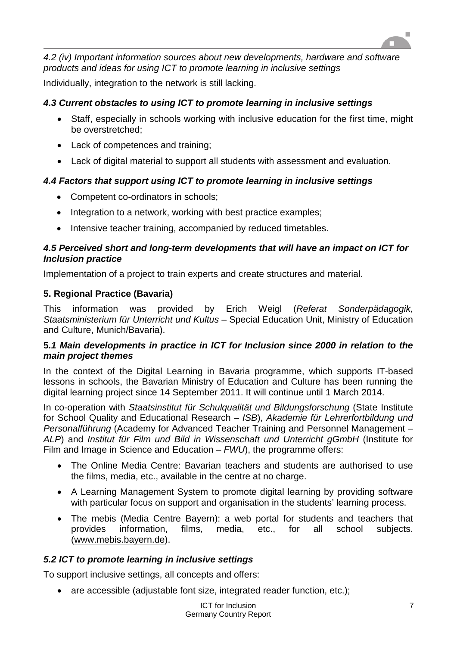

*4.2 (iv) Important information sources about new developments, hardware and software products and ideas for using ICT to promote learning in inclusive settings*

Individually, integration to the network is still lacking.

# *4.3 Current obstacles to using ICT to promote learning in inclusive settings*

- Staff, especially in schools working with inclusive education for the first time, might be overstretched;
- Lack of competences and training;
- Lack of digital material to support all students with assessment and evaluation.

# *4.4 Factors that support using ICT to promote learning in inclusive settings*

- Competent co-ordinators in schools;
- Integration to a network, working with best practice examples;
- Intensive teacher training, accompanied by reduced timetables.

# *4.5 Perceived short and long-term developments that will have an impact on ICT for Inclusion practice*

Implementation of a project to train experts and create structures and material.

# **5. Regional Practice (Bavaria)**

This information was provided by Erich Weigl (*Referat Sonderpädagogik, Staatsministerium für Unterricht und Kultus* – Special Education Unit, Ministry of Education and Culture, Munich/Bavaria).

# **5***.1 Main developments in practice in ICT for Inclusion since 2000 in relation to the main project themes*

In the context of the Digital Learning in Bavaria programme, which supports IT-based lessons in schools, the Bavarian Ministry of Education and Culture has been running the digital learning project since 14 September 2011. It will continue until 1 March 2014.

In co-operation with *Staatsinstitut für Schulqualität und Bildungsforschung* (State Institute for School Quality and Educational Research – *ISB*), *Akademie für Lehrerfortbildung und Personalführung* (Academy for Advanced Teacher Training and Personnel Management – *ALP*) and *Institut für Film und Bild in Wissenschaft und Unterricht gGmbH* (Institute for Film and Image in Science and Education – *FWU*), the programme offers:

- The Online Media Centre: Bavarian teachers and students are authorised to use the films, media, etc., available in the centre at no charge.
- A Learning Management System to promote digital learning by providing software with particular focus on support and organisation in the students' learning process.
- The mebis (Media Centre Bayern): a web portal for students and teachers that provides information, films, media, etc., for all school subjects. [\(www.mebis.bayern.de\)](http://www.mebis.bayern.de/).

# *5.2 ICT to promote learning in inclusive settings*

To support inclusive settings, all concepts and offers:

• are accessible (adjustable font size, integrated reader function, etc.);